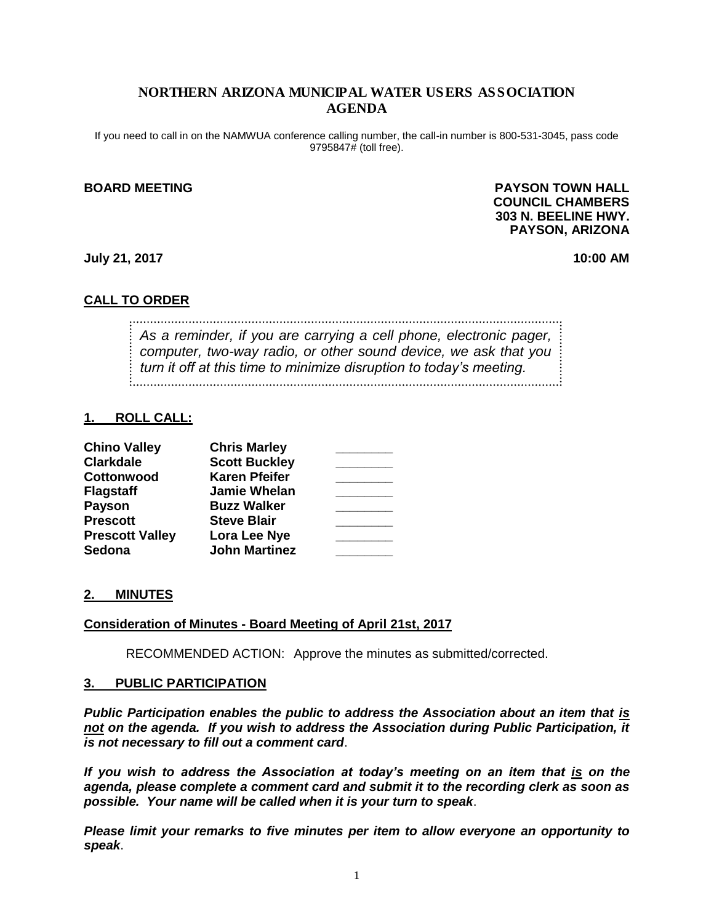## NORTHERN ARIZONA MUNICIPAL WATER USERS ASSOCIATION AGENDA

If you need to call in on the NAMWUA conference calling number, the call-in number is 800-531-3045, pass code 9795847# (toll free).

## **BOARD MEETING PAYSON TOWN HALL COUNCIL CHAMBERS 303 N. BEELINE HWY. PAYSON, ARIZONA**

**July 21, 2017 10:00 AM**

## **CALL TO ORDER**

*As a reminder, if you are carrying a cell phone, electronic pager, computer, two-way radio, or other sound device, we ask that you turn it off at this time to minimize disruption to today's meeting.*

### **1. ROLL CALL:**

| <b>Chino Valley</b>    | <b>Chris Marley</b>  |  |
|------------------------|----------------------|--|
| <b>Clarkdale</b>       | <b>Scott Buckley</b> |  |
| Cottonwood             | <b>Karen Pfeifer</b> |  |
| <b>Flagstaff</b>       | <b>Jamie Whelan</b>  |  |
| <b>Payson</b>          | <b>Buzz Walker</b>   |  |
| <b>Prescott</b>        | <b>Steve Blair</b>   |  |
| <b>Prescott Valley</b> | Lora Lee Nye         |  |
| <b>Sedona</b>          | <b>John Martinez</b> |  |

#### **2. MINUTES**

#### **Consideration of Minutes - Board Meeting of April 21st, 2017**

RECOMMENDED ACTION: Approve the minutes as submitted/corrected.

#### **3. PUBLIC PARTICIPATION**

*Public Participation enables the public to address the Association about an item that is not on the agenda. If you wish to address the Association during Public Participation, it is not necessary to fill out a comment card*.

*If you wish to address the Association at today's meeting on an item that is on the agenda, please complete a comment card and submit it to the recording clerk as soon as possible. Your name will be called when it is your turn to speak*.

*Please limit your remarks to five minutes per item to allow everyone an opportunity to speak*.